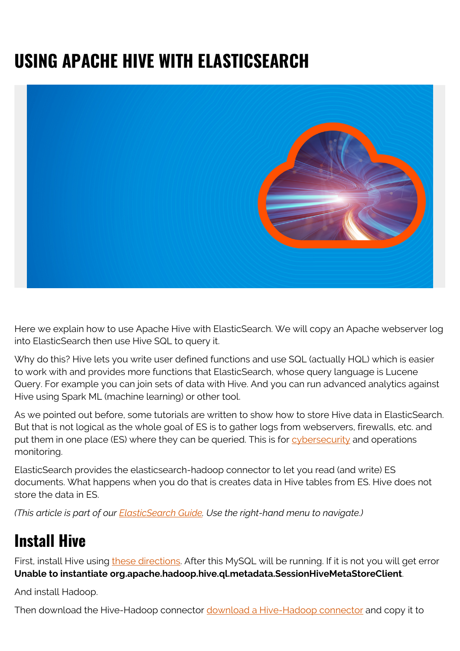# **USING APACHE HIVE WITH ELASTICSEARCH**



Here we explain how to use Apache Hive with ElasticSearch. We will copy an Apache webserver log into ElasticSearch then use Hive SQL to query it.

Why do this? Hive lets you write user defined functions and use SQL (actually HQL) which is easier to work with and provides more functions that ElasticSearch, whose query language is Lucene Query. For example you can join sets of data with Hive. And you can run advanced analytics against Hive using Spark ML (machine learning) or other tool.

As we pointed out before, some tutorials are written to show how to store Hive data in ElasticSearch. But that is not logical as the whole goal of ES is to gather logs from webservers, firewalls, etc. and put them in one place (ES) where they can be queried. This is for [cybersecurity](https://blogs.bmc.com/blogs/cybersecurity/) and operations monitoring.

ElasticSearch provides the elasticsearch-hadoop connector to let you read (and write) ES documents. What happens when you do that is creates data in Hive tables from ES. Hive does not store the data in ES.

*(This article is part of our [ElasticSearch Guide.](https://blogs.bmc.com/blogs/elasticsearch-introduction/) Use the right-hand menu to navigate.)*

## **Install Hive**

First, install Hive using [these directions](https://blogs.bmc.com/blogs/hadoop-hive/). After this MySQL will be running. If it is not you will get error **Unable to instantiate org.apache.hadoop.hive.ql.metadata.SessionHiveMetaStoreClient**.

And install Hadoop.

Then download the Hive-Hadoop connector [download a Hive-Hadoop connector](https://www.sisense.com/data-connectors/hadoop-via-hive/) and copy it to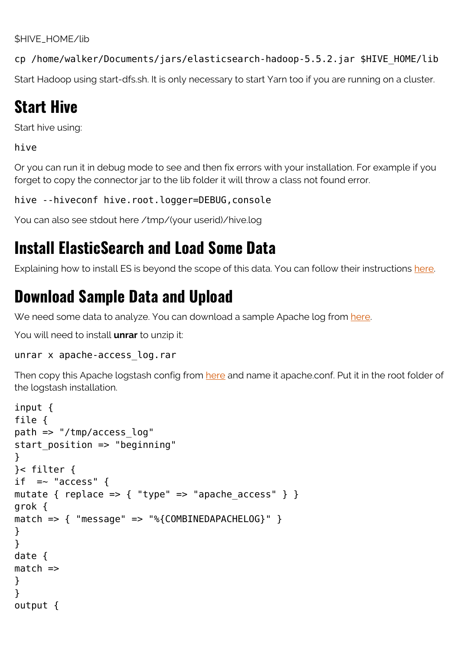\$HIVE\_HOME/lib

cp /home/walker/Documents/jars/elasticsearch-hadoop-5.5.2.jar \$HIVE\_HOME/lib

Start Hadoop using start-dfs.sh. It is only necessary to start Yarn too if you are running on a cluster.

### **Start Hive**

Start hive using:

hive

Or you can run it in debug mode to see and then fix errors with your installation. For example if you forget to copy the connector jar to the lib folder it will throw a class not found error.

hive --hiveconf hive.root.logger=DEBUG, console

You can also see stdout here /tmp/(your userid)/hive.log

### **Install ElasticSearch and Load Some Data**

Explaining how to install ES is beyond the scope of this data. You can follow their instructions [here.](https://www.elastic.co/guide/en/elasticsearch/guide/current/running-elasticsearch.html)

### **Download Sample Data and Upload**

We need some data to analyze. You can download a sample Apache log from [here](https://web.archive.org/web/20170709095438/https://www.monitorware.com/en/logsamples/download/apache-samples.rar).

You will need to install **unrar** to unzip it:

#### unrar x apache-access\_log.rar

Then copy this Apache logstash config from [here](https://www.elastic.co/guide/en/logstash/current/config-examples.html) and name it apache.conf. Put it in the root folder of the logstash installation.

```
input {
file {
path => "/tmp/access_log"
start position \Rightarrow "beginning"
}
}< filter {
if = "access" {
mutate { replace => { "type" => "apache_access" } }
grok {
match => { "message" => "%{COMBINEDAPACHELOG}" }
}
}
date {
match =>
}
}
output {
```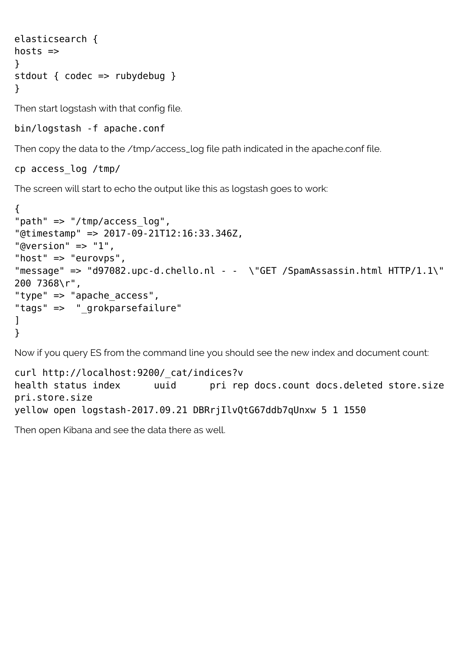```
elasticsearch {
hosts \Rightarrow}
stdout { codec => rubydebug }
}
```
Then start logstash with that config file.

bin/logstash -f apache.conf

Then copy the data to the /tmp/access\_log file path indicated in the apache.conf file.

#### cp access\_log /tmp/

The screen will start to echo the output like this as logstash goes to work:

```
{
"path" => "/tmp/access log",
"@timestamp" => 2017-09-21T12:16:33.346Z,
"@version" \Rightarrow "1",
"host" => "eurovps",
"message" => "d97082.upc-d.chello.nl - - \"GET /SpamAssassin.html HTTP/1.1\"
200 7368\r",
"type" => "apache access",
"tags" => " grokparsefailure"
]
}
```
Now if you query ES from the command line you should see the new index and document count:

```
curl http://localhost:9200/_cat/indices?v
health status index buid pri rep docs.count docs.deleted store.size
pri.store.size
yellow open logstash-2017.09.21 DBRrjIlvQtG67ddb7qUnxw 5 1 1550
```
Then open Kibana and see the data there as well.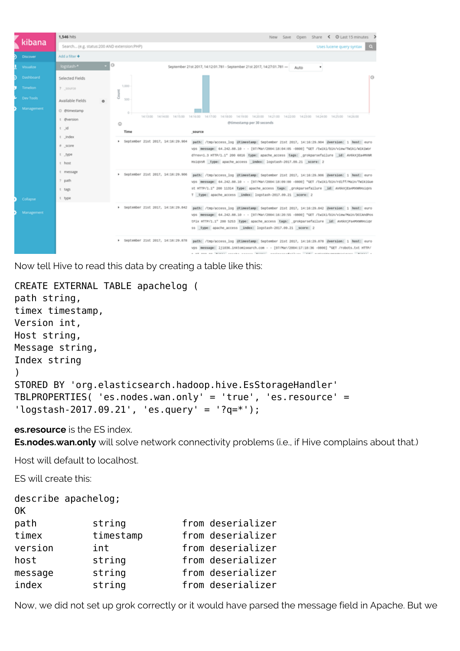| kibana           | 1.546 hits                                                                                               |                                     |                                                                                                                                                                                                                                                                                                                                                          |      | New Save Open Share < @ Last 15 minutes > |  |
|------------------|----------------------------------------------------------------------------------------------------------|-------------------------------------|----------------------------------------------------------------------------------------------------------------------------------------------------------------------------------------------------------------------------------------------------------------------------------------------------------------------------------------------------------|------|-------------------------------------------|--|
|                  | Search (e.g. status:200 AND extension:PHP)<br>Uses lucene query syntax<br>$\alpha$                       |                                     |                                                                                                                                                                                                                                                                                                                                                          |      |                                           |  |
| <b>Discover</b>  | Add a filter +                                                                                           |                                     |                                                                                                                                                                                                                                                                                                                                                          |      |                                           |  |
| <b>Visualize</b> | logstash-*                                                                                               | $\circ$                             | September 21st 2017, 14:12:01.781 - September 21st 2017, 14:27:01.781 -                                                                                                                                                                                                                                                                                  | Auto | ٠                                         |  |
| Dashboard        | Selected Fields                                                                                          |                                     |                                                                                                                                                                                                                                                                                                                                                          |      |                                           |  |
| <b>Timelion</b>  | 7 source                                                                                                 | 1,000                               |                                                                                                                                                                                                                                                                                                                                                          |      |                                           |  |
| Dev Tools        | Available Fields                                                                                         | š<br>500                            |                                                                                                                                                                                                                                                                                                                                                          |      |                                           |  |
| Management       | @ @timestamp                                                                                             | $\circ$                             |                                                                                                                                                                                                                                                                                                                                                          |      |                                           |  |
|                  | t @version                                                                                               | Ō                                   | 141300 141400 141500 141600 141700 141800 141900 142000 142100 142200 142300 142400 142500 142600<br>@timestamp per 30 seconds                                                                                                                                                                                                                           |      |                                           |  |
|                  | $t$ $id$                                                                                                 | Time                                | source                                                                                                                                                                                                                                                                                                                                                   |      |                                           |  |
|                  | t index                                                                                                  | * September 21st 2017, 14:16:29.904 | path: /tmp/access_log @timestamp: September 21st 2017, 14:16:29.904 @version: 1 host: euro                                                                                                                                                                                                                                                               |      |                                           |  |
|                  | # score<br>vps message: 64.242.88.10 - - [07/Mar/2004:18:04:05 -0800] "GET /twiki/bin/view/TWiki/Wikiwor |                                     |                                                                                                                                                                                                                                                                                                                                                          |      |                                           |  |
|                  | t type<br>d?rev=1.3 HTTP/1.1" 200 6816 type: apache_access tags: grokparsefailure id: AV6kXjEa4PONR      |                                     |                                                                                                                                                                                                                                                                                                                                                          |      |                                           |  |
|                  | t host                                                                                                   |                                     | HsigVsR type: apache_access index: logstash-2017.09.21 score: 2                                                                                                                                                                                                                                                                                          |      |                                           |  |
|                  | t message                                                                                                | * September 21st 2017, 14:16:29.906 | path: /tmp/access log @timestamp: September 21st 2017, 14:16:29.906 @wersion: 1 host: euro<br>vps message: 64.242.88.10 - - [07/Mar/2004:18:09:00 -0000] "GET /twiki/bin/rdiff/Main/TwikiGue                                                                                                                                                             |      |                                           |  |
|                  | ? path                                                                                                   |                                     |                                                                                                                                                                                                                                                                                                                                                          |      |                                           |  |
|                  | t tags                                                                                                   |                                     | st HTTP/1.1" 200 11314 type: apache_access tags: grokparsefailure _id: AVEAXjEa4POURDHigVs<br>T type: apache_access _index: logstash-2017.09.21 _score: 2                                                                                                                                                                                                |      |                                           |  |
| Collapse         | t type                                                                                                   |                                     |                                                                                                                                                                                                                                                                                                                                                          |      |                                           |  |
| Management       |                                                                                                          | > September 21st 2017, 14:16:29.842 | path: /tmp/access_log @timestamp: September 21st 2017, 14:16:29.842 @version: 1 host: euro<br>vps message: 64.242.88.10 - - [07/Mar/2004:16:20:55 -0000] "GET /twiki/bin/view/Main/DCCAndPos<br>tFix HTTP/1.1" 200 5253 type: apache_access tags: grokparsefailure _id: AvGkXjFa4PONRHsigV<br>55 type: apache_access index: logstash-2017.09.21 score: 2 |      |                                           |  |
|                  |                                                                                                          | > September 21st 2017, 14:16:29.878 | path: /tmp/access_log @timestamp: September 21st 2017, 14:16:29.878 @version: 1 host: euro<br>message; 111036.inktomisearch.com - - [07/Mar/2004;17;18:36 -0800] "GET /robots.txt HTTP/<br>and an income consider concert income constructed there. Add assistantic consideration                                                                        |      |                                           |  |

Now tell Hive to read this data by creating a table like this:

```
CREATE EXTERNAL TABLE apachelog (
path string,
timex timestamp,
Version int,
Host string,
Message string,
Index string
\lambdaSTORED BY 'org.elasticsearch.hadoop.hive.EsStorageHandler'
TBLPROPERTIES( 'es.nodes.wan.only' = 'true', 'es.resource' =
'logstash-2017.09.21', 'es.query' = '?q=*');
```
**es.resource** is the ES index.

**Es.nodes.wan.only** will solve network connectivity problems (i.e., if Hive complains about that.)

Host will default to localhost.

ES will create this:

```
describe apachelog;
OK
path string from deserializer
timex timestamp from deserializer
version int from deserializer
host string from deserializer
message string from deserializer
index string from deserializer
```
Now, we did not set up grok correctly or it would have parsed the message field in Apache. But we